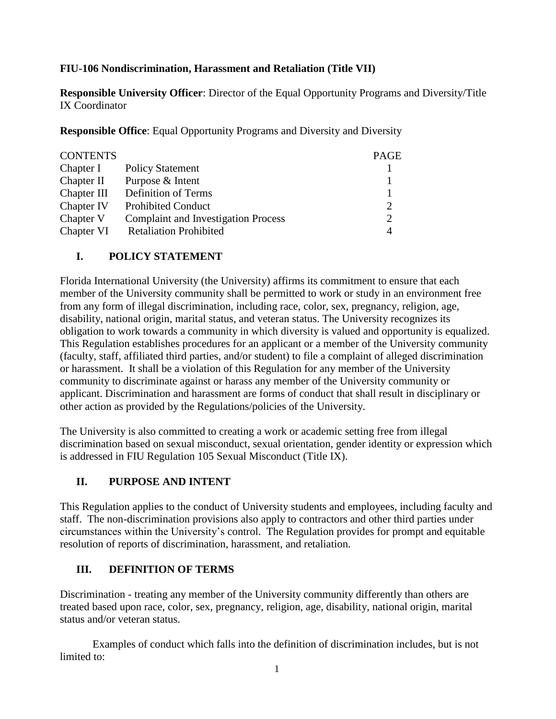### **FIU-106 Nondiscrimination, Harassment and Retaliation (Title VII)**

**Responsible University Officer**: Director of the Equal Opportunity Programs and Diversity/Title IX Coordinator

**Responsible Office**: Equal Opportunity Programs and Diversity and Diversity

| <b>CONTENTS</b> |                                            | PAGE                  |
|-----------------|--------------------------------------------|-----------------------|
| Chapter I       | <b>Policy Statement</b>                    |                       |
| Chapter II      | Purpose & Intent                           |                       |
| Chapter III     | Definition of Terms                        |                       |
| Chapter IV      | <b>Prohibited Conduct</b>                  | $\mathcal{D}_{\cdot}$ |
| Chapter V       | <b>Complaint and Investigation Process</b> | $\overline{2}$        |
| Chapter VI      | <b>Retaliation Prohibited</b>              | 4                     |

### **I. POLICY STATEMENT**

Florida International University (the University) affirms its commitment to ensure that each member of the University community shall be permitted to work or study in an environment free from any form of illegal discrimination, including race, color, sex, pregnancy, religion, age, disability, national origin, marital status, and veteran status. The University recognizes its obligation to work towards a community in which diversity is valued and opportunity is equalized. This Regulation establishes procedures for an applicant or a member of the University community (faculty, staff, affiliated third parties, and/or student) to file a complaint of alleged discrimination or harassment. It shall be a violation of this Regulation for any member of the University community to discriminate against or harass any member of the University community or applicant. Discrimination and harassment are forms of conduct that shall result in disciplinary or other action as provided by the Regulations/policies of the University.

The University is also committed to creating a work or academic setting free from illegal discrimination based on sexual misconduct, sexual orientation, gender identity or expression which is addressed in FIU Regulation 105 Sexual Misconduct (Title IX).

## **II. PURPOSE AND INTENT**

This Regulation applies to the conduct of University students and employees, including faculty and staff. The non-discrimination provisions also apply to contractors and other third parties under circumstances within the University's control. The Regulation provides for prompt and equitable resolution of reports of discrimination, harassment, and retaliation.

## **III. DEFINITION OF TERMS**

Discrimination - treating any member of the University community differently than others are treated based upon race, color, sex, pregnancy, religion, age, disability, national origin, marital status and/or veteran status.

Examples of conduct which falls into the definition of discrimination includes, but is not limited to: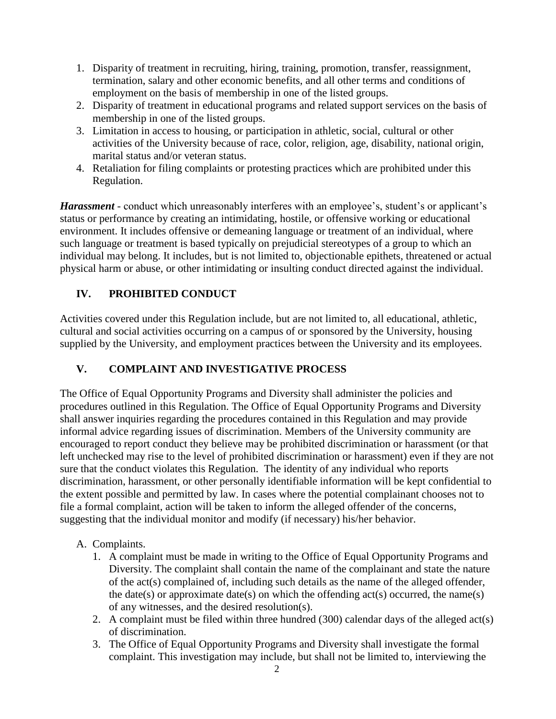- 1. Disparity of treatment in recruiting, hiring, training, promotion, transfer, reassignment, termination, salary and other economic benefits, and all other terms and conditions of employment on the basis of membership in one of the listed groups.
- 2. Disparity of treatment in educational programs and related support services on the basis of membership in one of the listed groups.
- 3. Limitation in access to housing, or participation in athletic, social, cultural or other activities of the University because of race, color, religion, age, disability, national origin, marital status and/or veteran status.
- 4. Retaliation for filing complaints or protesting practices which are prohibited under this Regulation.

*Harassment* - conduct which unreasonably interferes with an employee's, student's or applicant's status or performance by creating an intimidating, hostile, or offensive working or educational environment. It includes offensive or demeaning language or treatment of an individual, where such language or treatment is based typically on prejudicial stereotypes of a group to which an individual may belong. It includes, but is not limited to, objectionable epithets, threatened or actual physical harm or abuse, or other intimidating or insulting conduct directed against the individual.

# **IV. PROHIBITED CONDUCT**

Activities covered under this Regulation include, but are not limited to, all educational, athletic, cultural and social activities occurring on a campus of or sponsored by the University, housing supplied by the University, and employment practices between the University and its employees.

## **V. COMPLAINT AND INVESTIGATIVE PROCESS**

The Office of Equal Opportunity Programs and Diversity shall administer the policies and procedures outlined in this Regulation. The Office of Equal Opportunity Programs and Diversity shall answer inquiries regarding the procedures contained in this Regulation and may provide informal advice regarding issues of discrimination. Members of the University community are encouraged to report conduct they believe may be prohibited discrimination or harassment (or that left unchecked may rise to the level of prohibited discrimination or harassment) even if they are not sure that the conduct violates this Regulation. The identity of any individual who reports discrimination, harassment, or other personally identifiable information will be kept confidential to the extent possible and permitted by law. In cases where the potential complainant chooses not to file a formal complaint, action will be taken to inform the alleged offender of the concerns, suggesting that the individual monitor and modify (if necessary) his/her behavior.

## A. Complaints.

- 1. A complaint must be made in writing to the Office of Equal Opportunity Programs and Diversity. The complaint shall contain the name of the complainant and state the nature of the act(s) complained of, including such details as the name of the alleged offender, the date(s) or approximate date(s) on which the offending  $act(s)$  occurred, the name(s) of any witnesses, and the desired resolution(s).
- 2. A complaint must be filed within three hundred (300) calendar days of the alleged act(s) of discrimination.
- 3. The Office of Equal Opportunity Programs and Diversity shall investigate the formal complaint. This investigation may include, but shall not be limited to, interviewing the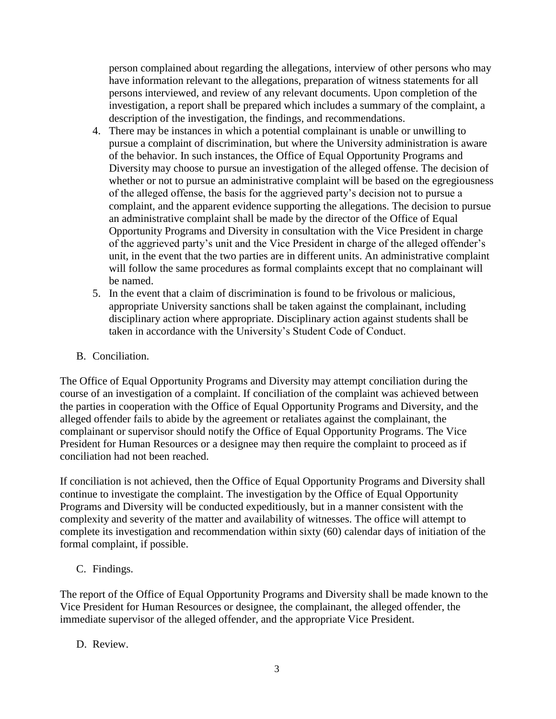person complained about regarding the allegations, interview of other persons who may have information relevant to the allegations, preparation of witness statements for all persons interviewed, and review of any relevant documents. Upon completion of the investigation, a report shall be prepared which includes a summary of the complaint, a description of the investigation, the findings, and recommendations.

- 4. There may be instances in which a potential complainant is unable or unwilling to pursue a complaint of discrimination, but where the University administration is aware of the behavior. In such instances, the Office of Equal Opportunity Programs and Diversity may choose to pursue an investigation of the alleged offense. The decision of whether or not to pursue an administrative complaint will be based on the egregiousness of the alleged offense, the basis for the aggrieved party's decision not to pursue a complaint, and the apparent evidence supporting the allegations. The decision to pursue an administrative complaint shall be made by the director of the Office of Equal Opportunity Programs and Diversity in consultation with the Vice President in charge of the aggrieved party's unit and the Vice President in charge of the alleged offender's unit, in the event that the two parties are in different units. An administrative complaint will follow the same procedures as formal complaints except that no complainant will be named.
- 5. In the event that a claim of discrimination is found to be frivolous or malicious, appropriate University sanctions shall be taken against the complainant, including disciplinary action where appropriate. Disciplinary action against students shall be taken in accordance with the University's Student Code of Conduct.
- B. Conciliation.

The Office of Equal Opportunity Programs and Diversity may attempt conciliation during the course of an investigation of a complaint. If conciliation of the complaint was achieved between the parties in cooperation with the Office of Equal Opportunity Programs and Diversity, and the alleged offender fails to abide by the agreement or retaliates against the complainant, the complainant or supervisor should notify the Office of Equal Opportunity Programs. The Vice President for Human Resources or a designee may then require the complaint to proceed as if conciliation had not been reached.

If conciliation is not achieved, then the Office of Equal Opportunity Programs and Diversity shall continue to investigate the complaint. The investigation by the Office of Equal Opportunity Programs and Diversity will be conducted expeditiously, but in a manner consistent with the complexity and severity of the matter and availability of witnesses. The office will attempt to complete its investigation and recommendation within sixty (60) calendar days of initiation of the formal complaint, if possible.

C. Findings.

The report of the Office of Equal Opportunity Programs and Diversity shall be made known to the Vice President for Human Resources or designee, the complainant, the alleged offender, the immediate supervisor of the alleged offender, and the appropriate Vice President.

D. Review.